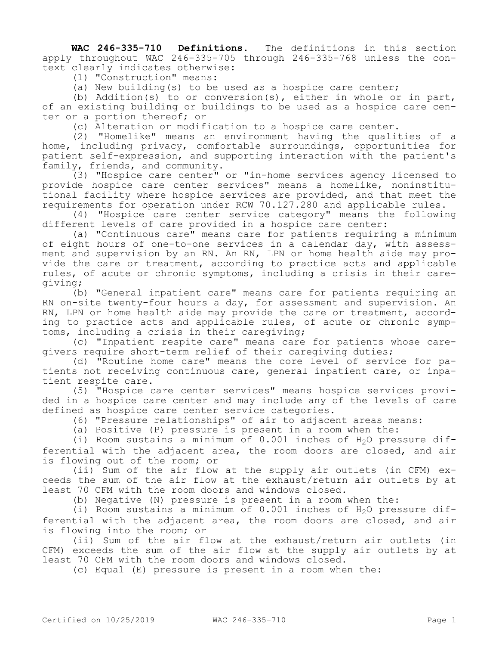**WAC 246-335-710 Definitions.** The definitions in this section apply throughout WAC 246-335-705 through 246-335-768 unless the context clearly indicates otherwise:

(1) "Construction" means:

(a) New building(s) to be used as a hospice care center;

(b) Addition(s) to or conversion(s), either in whole or in part, of an existing building or buildings to be used as a hospice care center or a portion thereof; or

(c) Alteration or modification to a hospice care center.

(2) "Homelike" means an environment having the qualities of a home, including privacy, comfortable surroundings, opportunities for patient self-expression, and supporting interaction with the patient's family, friends, and community.

(3) "Hospice care center" or "in-home services agency licensed to provide hospice care center services" means a homelike, noninstitutional facility where hospice services are provided, and that meet the requirements for operation under RCW 70.127.280 and applicable rules.

(4) "Hospice care center service category" means the following different levels of care provided in a hospice care center:

(a) "Continuous care" means care for patients requiring a minimum of eight hours of one-to-one services in a calendar day, with assessment and supervision by an RN. An RN, LPN or home health aide may provide the care or treatment, according to practice acts and applicable rules, of acute or chronic symptoms, including a crisis in their caregiving;

(b) "General inpatient care" means care for patients requiring an RN on-site twenty-four hours a day, for assessment and supervision. An RN, LPN or home health aide may provide the care or treatment, according to practice acts and applicable rules, of acute or chronic symptoms, including a crisis in their caregiving;

(c) "Inpatient respite care" means care for patients whose caregivers require short-term relief of their caregiving duties;

(d) "Routine home care" means the core level of service for patients not receiving continuous care, general inpatient care, or inpatient respite care.

(5) "Hospice care center services" means hospice services provided in a hospice care center and may include any of the levels of care defined as hospice care center service categories.

(6) "Pressure relationships" of air to adjacent areas means:

(a) Positive (P) pressure is present in a room when the:

(i) Room sustains a minimum of  $0.001$  inches of  $H_2O$  pressure differential with the adjacent area, the room doors are closed, and air is flowing out of the room; or

(ii) Sum of the air flow at the supply air outlets (in CFM) exceeds the sum of the air flow at the exhaust/return air outlets by at least 70 CFM with the room doors and windows closed.

(b) Negative (N) pressure is present in a room when the:

(i) Room sustains a minimum of  $0.001$  inches of  $H<sub>2</sub>O$  pressure differential with the adjacent area, the room doors are closed, and air is flowing into the room; or

(ii) Sum of the air flow at the exhaust/return air outlets (in CFM) exceeds the sum of the air flow at the supply air outlets by at least 70 CFM with the room doors and windows closed.

(c) Equal (E) pressure is present in a room when the: